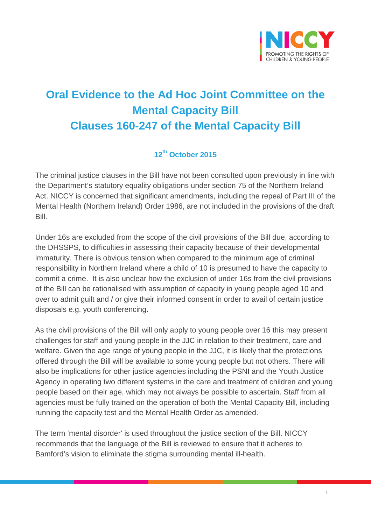

## **Oral Evidence to the Ad Hoc Joint Committee on the Mental Capacity Bill Clauses 160-247 of the Mental Capacity Bill**

## **12th October 2015**

The criminal justice clauses in the Bill have not been consulted upon previously in line with the Department's statutory equality obligations under section 75 of the Northern Ireland Act. NICCY is concerned that significant amendments, including the repeal of Part III of the Mental Health (Northern Ireland) Order 1986, are not included in the provisions of the draft Bill.

Under 16s are excluded from the scope of the civil provisions of the Bill due, according to the DHSSPS, to difficulties in assessing their capacity because of their developmental immaturity. There is obvious tension when compared to the minimum age of criminal responsibility in Northern Ireland where a child of 10 is presumed to have the capacity to commit a crime. It is also unclear how the exclusion of under 16s from the civil provisions of the Bill can be rationalised with assumption of capacity in young people aged 10 and over to admit guilt and / or give their informed consent in order to avail of certain justice disposals e.g. youth conferencing.

As the civil provisions of the Bill will only apply to young people over 16 this may present challenges for staff and young people in the JJC in relation to their treatment, care and welfare. Given the age range of young people in the JJC, it is likely that the protections offered through the Bill will be available to some young people but not others. There will also be implications for other justice agencies including the PSNI and the Youth Justice Agency in operating two different systems in the care and treatment of children and young people based on their age, which may not always be possible to ascertain. Staff from all agencies must be fully trained on the operation of both the Mental Capacity Bill, including running the capacity test and the Mental Health Order as amended.

The term 'mental disorder' is used throughout the justice section of the Bill. NICCY recommends that the language of the Bill is reviewed to ensure that it adheres to Bamford's vision to eliminate the stigma surrounding mental ill-health.